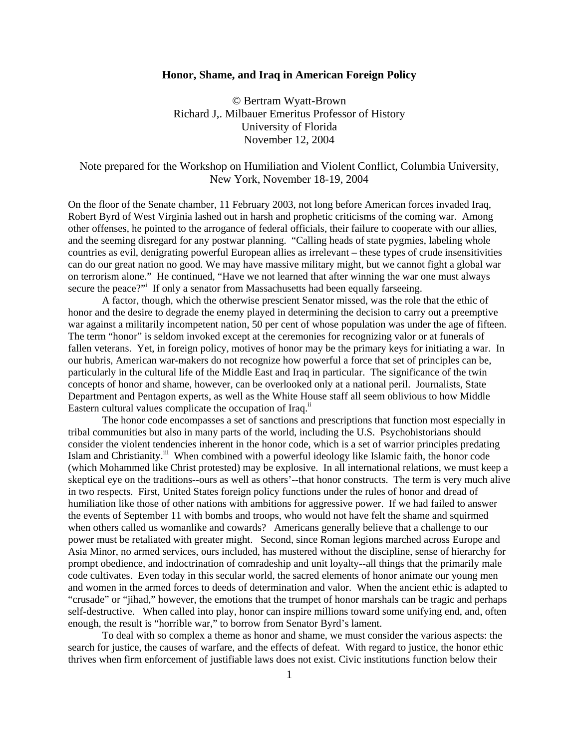## **Honor, Shame, and Iraq in American Foreign Policy**

© Bertram Wyatt-Brown Richard J,. Milbauer Emeritus Professor of History University of Florida November 12, 2004

## Note prepared for the Workshop on Humiliation and Violent Conflict, Columbia University, New York, November 18-19, 2004

On the floor of the Senate chamber, 11 February 2003, not long before American forces invaded Iraq, Robert Byrd of West Virginia lashed out in harsh and prophetic criticisms of the coming war. Among other offenses, he pointed to the arrogance of federal officials, their failure to cooperate with our allies, and the seeming disregard for any postwar planning. "Calling heads of state pygmies, labeling whole countries as evil, denigrating powerful European allies as irrelevant – these types of crude insensitivities can do our great nation no good. We may have massive military might, but we cannot fight a global war on terrorism alone." He continued, "Have we not learned that after winning the war one must always secure the peace?" If only a senator from Massachusetts had been equally farseeing.

 A factor, though, which the otherwise prescient Senator missed, was the role that the ethic of honor and the desire to degrade the enemy played in determining the decision to carry out a preemptive war against a militarily incompetent nation, 50 per cent of whose population was under the age of fifteen. The term "honor" is seldom invoked except at the ceremonies for recognizing valor or at funerals of fallen veterans. Yet, in foreign policy, motives of honor may be the primary keys for initiating a war. In our hubris, American war-makers do not recognize how powerful a force that set of principles can be, particularly in the cultural life of the Middle East and Iraq in particular. The significance of the twin concepts of honor and shame, however, can be overlooked only at a national peril. Journalists, State Department and Pentagon experts, as well as the White House staff all seem oblivious to how Middle Eastern cultural values complicate the occupation of Iraq.<sup>ii</sup>

 The honor code encompasses a set of sanctions and prescriptions that function most especially in tribal communities but also in many parts of the world, including the U.S. Psychohistorians should consider the violent tendencies inherent in the honor code, which is a set of warrior principles predating Islam and Christianity.<sup>iii</sup> When combined with a powerful ideology like Islamic faith, the honor code (which Mohammed like Christ protested) may be explosive. In all international relations, we must keep a skeptical eye on the traditions--ours as well as others'--that honor constructs. The term is very much alive in two respects. First, United States foreign policy functions under the rules of honor and dread of humiliation like those of other nations with ambitions for aggressive power. If we had failed to answer the events of September 11 with bombs and troops, who would not have felt the shame and squirmed when others called us womanlike and cowards? Americans generally believe that a challenge to our power must be retaliated with greater might. Second, since Roman legions marched across Europe and Asia Minor, no armed services, ours included, has mustered without the discipline, sense of hierarchy for prompt obedience, and indoctrination of comradeship and unit loyalty--all things that the primarily male code cultivates. Even today in this secular world, the sacred elements of honor animate our young men and women in the armed forces to deeds of determination and valor. When the ancient ethic is adapted to "crusade" or "jihad," however, the emotions that the trumpet of honor marshals can be tragic and perhaps self-destructive. When called into play, honor can inspire millions toward some unifying end, and, often enough, the result is "horrible war," to borrow from Senator Byrd's lament.

 To deal with so complex a theme as honor and shame, we must consider the various aspects: the search for justice, the causes of warfare, and the effects of defeat. With regard to justice, the honor ethic thrives when firm enforcement of justifiable laws does not exist. Civic institutions function below their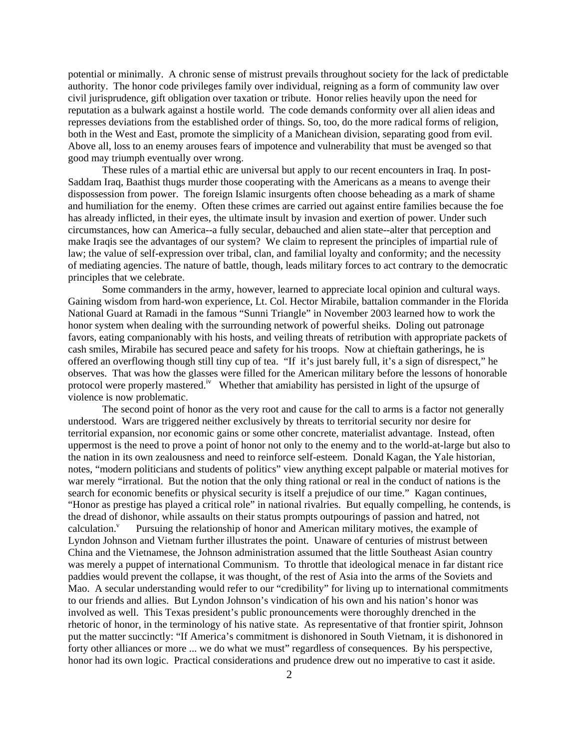potential or minimally. A chronic sense of mistrust prevails throughout society for the lack of predictable authority. The honor code privileges family over individual, reigning as a form of community law over civil jurisprudence, gift obligation over taxation or tribute. Honor relies heavily upon the need for reputation as a bulwark against a hostile world. The code demands conformity over all alien ideas and represses deviations from the established order of things. So, too, do the more radical forms of religion, both in the West and East, promote the simplicity of a Manichean division, separating good from evil. Above all, loss to an enemy arouses fears of impotence and vulnerability that must be avenged so that good may triumph eventually over wrong.

 These rules of a martial ethic are universal but apply to our recent encounters in Iraq. In post-Saddam Iraq, Baathist thugs murder those cooperating with the Americans as a means to avenge their dispossession from power. The foreign Islamic insurgents often choose beheading as a mark of shame and humiliation for the enemy. Often these crimes are carried out against entire families because the foe has already inflicted, in their eyes, the ultimate insult by invasion and exertion of power. Under such circumstances, how can America--a fully secular, debauched and alien state--alter that perception and make Iraqis see the advantages of our system? We claim to represent the principles of impartial rule of law; the value of self-expression over tribal, clan, and familial loyalty and conformity; and the necessity of mediating agencies. The nature of battle, though, leads military forces to act contrary to the democratic principles that we celebrate.

 Some commanders in the army, however, learned to appreciate local opinion and cultural ways. Gaining wisdom from hard-won experience, Lt. Col. Hector Mirabile, battalion commander in the Florida National Guard at Ramadi in the famous "Sunni Triangle" in November 2003 learned how to work the honor system when dealing with the surrounding network of powerful sheiks. Doling out patronage favors, eating companionably with his hosts, and veiling threats of retribution with appropriate packets of cash smiles, Mirabile has secured peace and safety for his troops. Now at chieftain gatherings, he is offered an overflowing though still tiny cup of tea. "If it's just barely full, it's a sign of disrespect," he observes. That was how the glasses were filled for the American military before the lessons of honorable protocol were properly mastered.<sup>iv</sup> Whether that amiability has persisted in light of the upsurge of violence is now problematic.

 The second point of honor as the very root and cause for the call to arms is a factor not generally understood. Wars are triggered neither exclusively by threats to territorial security nor desire for territorial expansion, nor economic gains or some other concrete, materialist advantage. Instead, often uppermost is the need to prove a point of honor not only to the enemy and to the world-at-large but also to the nation in its own zealousness and need to reinforce self-esteem. Donald Kagan, the Yale historian, notes, "modern politicians and students of politics" view anything except palpable or material motives for war merely "irrational. But the notion that the only thing rational or real in the conduct of nations is the search for economic benefits or physical security is itself a prejudice of our time." Kagan continues, "Honor as prestige has played a critical role" in national rivalries. But equally compelling, he contends, is the dread of dishonor, while assaults on their status prompts outpourings of passion and hatred, not calculation. $\frac{v}{x}$  Pursuing the relationship of honor and American military motives, the example of Lyndon Johnson and Vietnam further illustrates the point. Unaware of centuries of mistrust between China and the Vietnamese, the Johnson administration assumed that the little Southeast Asian country was merely a puppet of international Communism. To throttle that ideological menace in far distant rice paddies would prevent the collapse, it was thought, of the rest of Asia into the arms of the Soviets and Mao. A secular understanding would refer to our "credibility" for living up to international commitments to our friends and allies. But Lyndon Johnson's vindication of his own and his nation's honor was involved as well. This Texas president's public pronouncements were thoroughly drenched in the rhetoric of honor, in the terminology of his native state. As representative of that frontier spirit, Johnson put the matter succinctly: "If America's commitment is dishonored in South Vietnam, it is dishonored in forty other alliances or more ... we do what we must" regardless of consequences. By his perspective, honor had its own logic. Practical considerations and prudence drew out no imperative to cast it aside.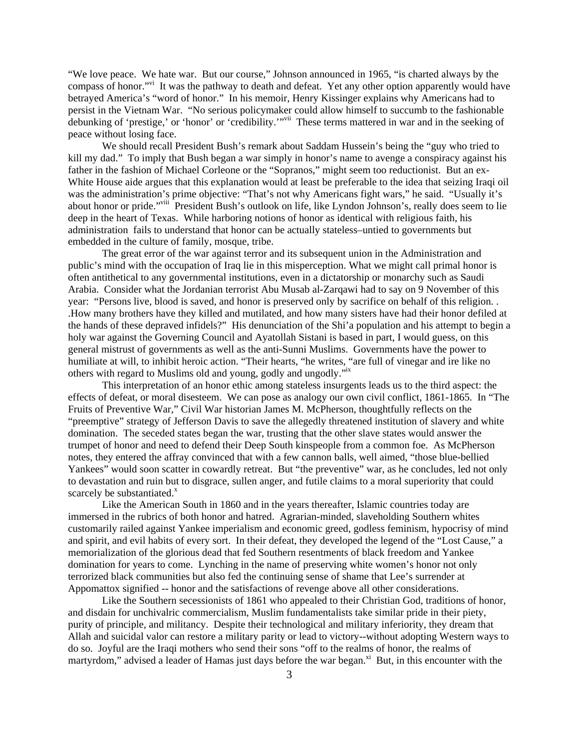"We love peace. We hate war. But our course," Johnson announced in 1965, "is charted always by the compass of honor."<sup>it</sup> It was the pathway to death and defeat. Yet any other option apparently would have betrayed America's "word of honor." In his memoir, Henry Kissinger explains why Americans had to persist in the Vietnam War. "No serious policymaker could allow himself to succumb to the fashionable debunking of 'prestige,' or 'honor' or 'credibility.'"<sup>vii</sup> These terms mattered in war and in the seeking of peace without losing face.

 We should recall President Bush's remark about Saddam Hussein's being the "guy who tried to kill my dad." To imply that Bush began a war simply in honor's name to avenge a conspiracy against his father in the fashion of Michael Corleone or the "Sopranos," might seem too reductionist. But an ex-White House aide argues that this explanation would at least be preferable to the idea that seizing Iraqi oil was the administration's prime objective: "That's not why Americans fight wars," he said. "Usually it's about honor or pride."viii President Bush's outlook on life, like Lyndon Johnson's, really does seem to lie deep in the heart of Texas. While harboring notions of honor as identical with religious faith, his administration fails to understand that honor can be actually stateless–untied to governments but embedded in the culture of family, mosque, tribe.

 The great error of the war against terror and its subsequent union in the Administration and public's mind with the occupation of Iraq lie in this misperception. What we might call primal honor is often antithetical to any governmental institutions, even in a dictatorship or monarchy such as Saudi Arabia. Consider what the Jordanian terrorist Abu Musab al-Zarqawi had to say on 9 November of this year: "Persons live, blood is saved, and honor is preserved only by sacrifice on behalf of this religion. . .How many brothers have they killed and mutilated, and how many sisters have had their honor defiled at the hands of these depraved infidels?" His denunciation of the Shi'a population and his attempt to begin a holy war against the Governing Council and Ayatollah Sistani is based in part, I would guess, on this general mistrust of governments as well as the anti-Sunni Muslims. Governments have the power to humiliate at will, to inhibit heroic action. "Their hearts, "he writes, "are full of vinegar and ire like no others with regard to Muslims old and young, godly and ungodly."ix

 This interpretation of an honor ethic among stateless insurgents leads us to the third aspect: the effects of defeat, or moral disesteem. We can pose as analogy our own civil conflict, 1861-1865. In "The Fruits of Preventive War," Civil War historian James M. McPherson, thoughtfully reflects on the "preemptive" strategy of Jefferson Davis to save the allegedly threatened institution of slavery and white domination. The seceded states began the war, trusting that the other slave states would answer the trumpet of honor and need to defend their Deep South kinspeople from a common foe. As McPherson notes, they entered the affray convinced that with a few cannon balls, well aimed, "those blue-bellied Yankees" would soon scatter in cowardly retreat. But "the preventive" war, as he concludes, led not only to devastation and ruin but to disgrace, sullen anger, and futile claims to a moral superiority that could scarcely be substantiated. $x$ 

 Like the American South in 1860 and in the years thereafter, Islamic countries today are immersed in the rubrics of both honor and hatred. Agrarian-minded, slaveholding Southern whites customarily railed against Yankee imperialism and economic greed, godless feminism, hypocrisy of mind and spirit, and evil habits of every sort. In their defeat, they developed the legend of the "Lost Cause," a memorialization of the glorious dead that fed Southern resentments of black freedom and Yankee domination for years to come. Lynching in the name of preserving white women's honor not only terrorized black communities but also fed the continuing sense of shame that Lee's surrender at Appomattox signified -- honor and the satisfactions of revenge above all other considerations.

 Like the Southern secessionists of 1861 who appealed to their Christian God, traditions of honor, and disdain for unchivalric commercialism, Muslim fundamentalists take similar pride in their piety, purity of principle, and militancy. Despite their technological and military inferiority, they dream that Allah and suicidal valor can restore a military parity or lead to victory--without adopting Western ways to do so. Joyful are the Iraqi mothers who send their sons "off to the realms of honor, the realms of martyrdom," advised a leader of Hamas just days before the war began.<sup>xi</sup> But, in this encounter with the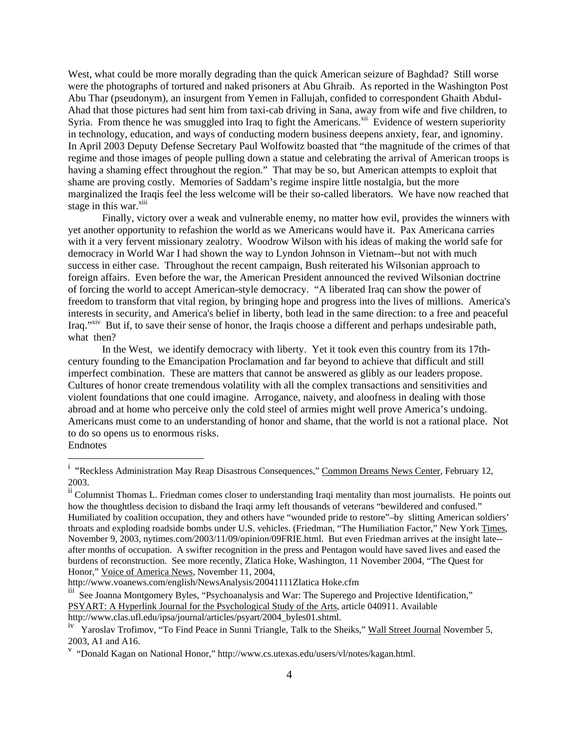West, what could be more morally degrading than the quick American seizure of Baghdad? Still worse were the photographs of tortured and naked prisoners at Abu Ghraib. As reported in the Washington Post Abu Thar (pseudonym), an insurgent from Yemen in Fallujah, confided to correspondent Ghaith Abdul-Ahad that those pictures had sent him from taxi-cab driving in Sana, away from wife and five children, to Syria. From thence he was smuggled into Iraq to fight the Americans.<sup>xii</sup> Evidence of western superiority in technology, education, and ways of conducting modern business deepens anxiety, fear, and ignominy. In April 2003 Deputy Defense Secretary Paul Wolfowitz boasted that "the magnitude of the crimes of that regime and those images of people pulling down a statue and celebrating the arrival of American troops is having a shaming effect throughout the region." That may be so, but American attempts to exploit that shame are proving costly. Memories of Saddam's regime inspire little nostalgia, but the more marginalized the Iraqis feel the less welcome will be their so-called liberators. We have now reached that stage in this war.<sup>xiii</sup>

 Finally, victory over a weak and vulnerable enemy, no matter how evil, provides the winners with yet another opportunity to refashion the world as we Americans would have it. Pax Americana carries with it a very fervent missionary zealotry. Woodrow Wilson with his ideas of making the world safe for democracy in World War I had shown the way to Lyndon Johnson in Vietnam--but not with much success in either case. Throughout the recent campaign, Bush reiterated his Wilsonian approach to foreign affairs. Even before the war, the American President announced the revived Wilsonian doctrine of forcing the world to accept American-style democracy. "A liberated Iraq can show the power of freedom to transform that vital region, by bringing hope and progress into the lives of millions. America's interests in security, and America's belief in liberty, both lead in the same direction: to a free and peaceful Iraq."xiv But if, to save their sense of honor, the Iraqis choose a different and perhaps undesirable path, what then?

 In the West, we identify democracy with liberty. Yet it took even this country from its 17thcentury founding to the Emancipation Proclamation and far beyond to achieve that difficult and still imperfect combination. These are matters that cannot be answered as glibly as our leaders propose. Cultures of honor create tremendous volatility with all the complex transactions and sensitivities and violent foundations that one could imagine. Arrogance, naivety, and aloofness in dealing with those abroad and at home who perceive only the cold steel of armies might well prove America's undoing. Americans must come to an understanding of honor and shame, that the world is not a rational place. Not to do so opens us to enormous risks.

Endnotes

i<br>
"Reckless Administration May Reap Disastrous Consequences," Common Dreams News Center, February 12, 2003.

ii Columnist Thomas L. Friedman comes closer to understanding Iraqi mentality than most journalists. He points out how the thoughtless decision to disband the Iraqi army left thousands of veterans "bewildered and confused." Humiliated by coalition occupation, they and others have "wounded pride to restore"–by slitting American soldiers' throats and exploding roadside bombs under U.S. vehicles. (Friedman, "The Humiliation Factor," New York Times, November 9, 2003, nytimes.com/2003/11/09/opinion/09FRIE.html. But even Friedman arrives at the insight late- after months of occupation. A swifter recognition in the press and Pentagon would have saved lives and eased the burdens of reconstruction. See more recently, Zlatica Hoke, Washington, 11 November 2004, "The Quest for Honor," Voice of America News, November 11, 2004,

http://www.voanews.com/english/NewsAnalysis/20041111Zlatica Hoke.cfm

iii See Joanna Montgomery Byles, "Psychoanalysis and War: The Superego and Projective Identification," PSYART: A Hyperlink Journal for the Psychological Study of the Arts, article 040911. Available http://www.clas.ufl.edu/ipsa/journal/articles/psyart/2004\_byles01.shtml.

Yaroslav Trofimov, "To Find Peace in Sunni Triangle, Talk to the Sheiks," Wall Street Journal November 5, 2003, A1 and A16.

v<br>
"
"Donald Kagan on National Honor," http://www.cs.utexas.edu/users/vl/notes/kagan.html.